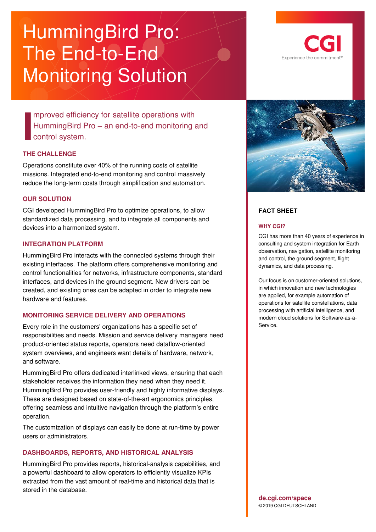# HummingBird Pro: The End-to-End Monitoring Solution

mproved efficiency for satellite operations with HummingBird Pro – an end-to-end monitoring and control system. **I** I **I**<br> **I**<br> **I**<br>
Cor

#### **THE CHALLENGE**

Operations constitute over 40% of the running costs of satellite missions. Integrated end-to-end monitoring and control massively reduce the long-term costs through simplification and automation.

#### **OUR SOLUTION**

CGI developed HummingBird Pro to optimize operations, to allow standardized data processing, and to integrate all components and devices into a harmonized system.

#### **INTEGRATION PLATFORM**

HummingBird Pro interacts with the connected systems through their existing interfaces. The platform offers comprehensive monitoring and control functionalities for networks, infrastructure components, standard interfaces, and devices in the ground segment. New drivers can be created, and existing ones can be adapted in order to integrate new hardware and features.

## **MONITORING SERVICE DELIVERY AND OPERATIONS**

Every role in the customers' organizations has a specific set of responsibilities and needs. Mission and service delivery managers need product-oriented status reports, operators need dataflow-oriented system overviews, and engineers want details of hardware, network, and software.

HummingBird Pro offers dedicated interlinked views, ensuring that each stakeholder receives the information they need when they need it. HummingBird Pro provides user-friendly and highly informative displays. These are designed based on state-of-the-art ergonomics principles, offering seamless and intuitive navigation through the platform's entire operation.

The customization of displays can easily be done at run-time by power users or administrators.

## **DASHBOARDS, REPORTS, AND HISTORICAL ANALYSIS**

HummingBird Pro provides reports, historical-analysis capabilities, and a powerful dashboard to allow operators to efficiently visualize KPIs extracted from the vast amount of real-time and historical data that is stored in the database.





## **FACT SHEET**

#### **WHY CGI?**

CGI has more than 40 years of experience in consulting and system integration for Earth observation, navigation, satellite monitoring and control, the ground segment, flight dynamics, and data processing.

Our focus is on customer-oriented solutions, in which innovation and new technologies are applied, for example automation of operations for satellite constellations, data processing with artificial intelligence, and modern cloud solutions for Software-as-a-Service.